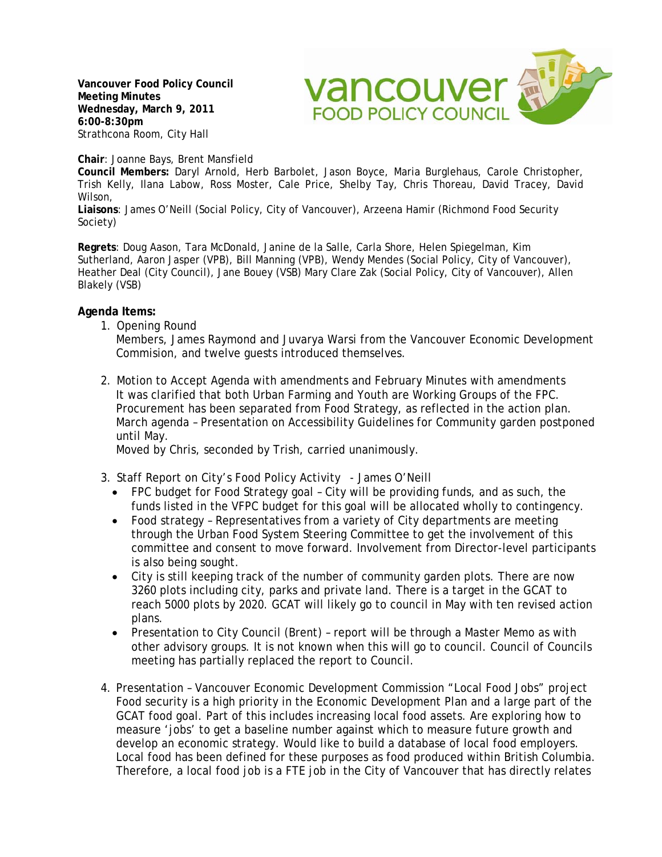**Vancouver Food Policy Council Meeting Minutes Wednesday, March 9, 2011 6:00-8:30pm**  Strathcona Room, City Hall



**Chair**: Joanne Bays, Brent Mansfield

**Council Members:** Daryl Arnold, Herb Barbolet, Jason Boyce, Maria Burglehaus, Carole Christopher, Trish Kelly, Ilana Labow, Ross Moster, Cale Price, Shelby Tay, Chris Thoreau, David Tracey, David Wilson,

**Liaisons**: James O'Neill (Social Policy, City of Vancouver), Arzeena Hamir (Richmond Food Security Society)

**Regrets**: Doug Aason, Tara McDonald, Janine de la Salle, Carla Shore, Helen Spiegelman, Kim Sutherland, Aaron Jasper (VPB), Bill Manning (VPB), Wendy Mendes (Social Policy, City of Vancouver), Heather Deal (City Council), Jane Bouey (VSB) Mary Clare Zak (Social Policy, City of Vancouver), Allen Blakely (VSB)

## **Agenda Items:**

1. Opening Round

Members, James Raymond and Juvarya Warsi from the Vancouver Economic Development Commision, and twelve guests introduced themselves.

2. Motion to Accept Agenda with amendments and February Minutes with amendments It was clarified that both Urban Farming and Youth are Working Groups of the FPC. Procurement has been separated from Food Strategy, as reflected in the action plan. March agenda – Presentation on Accessibility Guidelines for Community garden postponed until May.

Moved by Chris, seconded by Trish, carried unanimously.

- 3. Staff Report on City's Food Policy Activity James O'Neill
	- FPC budget for Food Strategy goal City will be providing funds, and as such, the funds listed in the VFPC budget for this goal will be allocated wholly to contingency.
	- Food strategy Representatives from a variety of City departments are meeting through the Urban Food System Steering Committee to get the involvement of this committee and consent to move forward. Involvement from Director-level participants is also being sought.
	- City is still keeping track of the number of community garden plots. There are now 3260 plots including city, parks and private land. There is a target in the GCAT to reach 5000 plots by 2020. GCAT will likely go to council in May with ten revised action plans.
	- Presentation to City Council (Brent) report will be through a Master Memo as with other advisory groups. It is not known when this will go to council. Council of Councils meeting has partially replaced the report to Council.
- 4. Presentation Vancouver Economic Development Commission "Local Food Jobs" project Food security is a high priority in the Economic Development Plan and a large part of the GCAT food goal. Part of this includes increasing local food assets. Are exploring how to measure 'jobs' to get a baseline number against which to measure future growth and develop an economic strategy. Would like to build a database of local food employers. Local food has been defined for these purposes as food produced within British Columbia. Therefore, a local food job is a FTE job in the City of Vancouver that has directly relates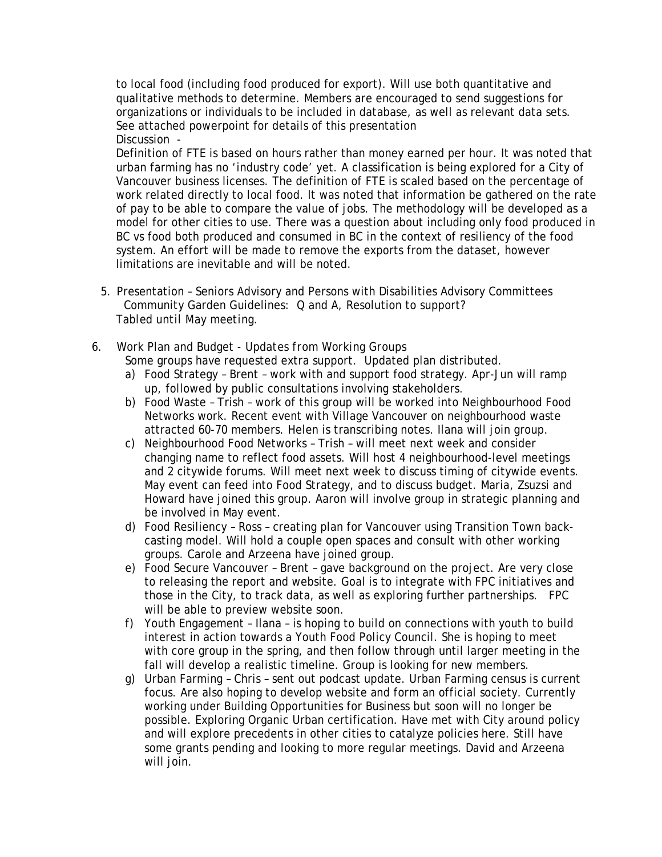to local food (including food produced for export). Will use both quantitative and qualitative methods to determine. Members are encouraged to send suggestions for organizations or individuals to be included in database, as well as relevant data sets. See attached powerpoint for details of this presentation Discussion -

Definition of FTE is based on hours rather than money earned per hour. It was noted that urban farming has no 'industry code' yet. A classification is being explored for a City of Vancouver business licenses. The definition of FTE is scaled based on the percentage of work related directly to local food. It was noted that information be gathered on the rate of pay to be able to compare the value of jobs. The methodology will be developed as a model for other cities to use. There was a question about including only food produced in BC vs food both produced and consumed in BC in the context of resiliency of the food system. An effort will be made to remove the exports from the dataset, however limitations are inevitable and will be noted.

- 5. Presentation Seniors Advisory and Persons with Disabilities Advisory Committees Community Garden Guidelines: Q and A, Resolution to support? *Tabled until May meeting.*
- 6. Work Plan and Budget *Updates from Working Groups* Some groups have requested extra support. Updated plan distributed.
	- a) Food Strategy Brent work with and support food strategy. Apr-Jun will ramp up, followed by public consultations involving stakeholders.
	- b) Food Waste Trish work of this group will be worked into Neighbourhood Food Networks work. Recent event with Village Vancouver on neighbourhood waste attracted 60-70 members. Helen is transcribing notes. Ilana will join group.
	- c) Neighbourhood Food Networks Trish will meet next week and consider changing name to reflect food assets. Will host 4 neighbourhood-level meetings and 2 citywide forums. Will meet next week to discuss timing of citywide events. May event can feed into Food Strategy, and to discuss budget. Maria, Zsuzsi and Howard have joined this group. Aaron will involve group in strategic planning and be involved in May event.
	- d) Food Resiliency Ross creating plan for Vancouver using Transition Town backcasting model. Will hold a couple open spaces and consult with other working groups. Carole and Arzeena have joined group.
	- e) Food Secure Vancouver Brent gave background on the project. Are very close to releasing the report and website. Goal is to integrate with FPC initiatives and those in the City, to track data, as well as exploring further partnerships. FPC will be able to preview website soon.
	- f) Youth Engagement Ilana is hoping to build on connections with youth to build interest in action towards a Youth Food Policy Council. She is hoping to meet with core group in the spring, and then follow through until larger meeting in the fall will develop a realistic timeline. Group is looking for new members.
	- g) Urban Farming Chris sent out podcast update. Urban Farming census is current focus. Are also hoping to develop website and form an official society. Currently working under Building Opportunities for Business but soon will no longer be possible. Exploring Organic Urban certification. Have met with City around policy and will explore precedents in other cities to catalyze policies here. Still have some grants pending and looking to more regular meetings. David and Arzeena will join.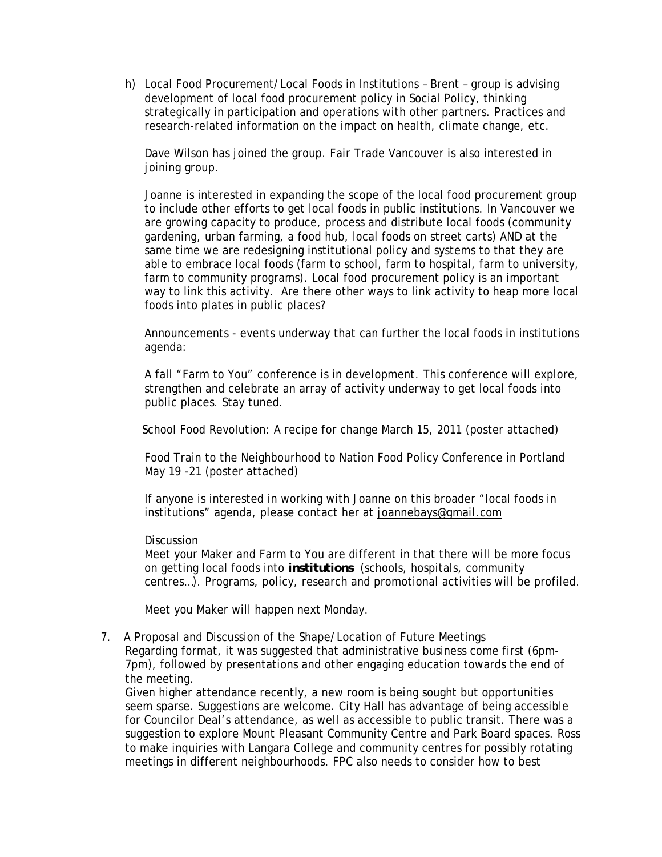h) Local Food Procurement/Local Foods in Institutions – Brent – group is advising development of local food procurement policy in Social Policy, thinking strategically in participation and operations with other partners. Practices and research-related information on the impact on health, climate change, etc.

Dave Wilson has joined the group. Fair Trade Vancouver is also interested in joining group.

Joanne is interested in expanding the scope of the local food procurement group to include other efforts to get local foods in public institutions. In Vancouver we are growing capacity to produce, process and distribute local foods (community gardening, urban farming, a food hub, local foods on street carts) AND at the same time we are redesigning institutional policy and systems to that they are able to embrace local foods (farm to school, farm to hospital, farm to university, farm to community programs). Local food procurement policy is an important way to link this activity. Are there other ways to link activity to heap more local foods into plates in public places?

Announcements - events underway that can further the local foods in institutions agenda:

A fall "Farm to You" conference is in development. This conference will explore, strengthen and celebrate an array of activity underway to get local foods into public places. Stay tuned.

School Food Revolution: A recipe for change March 15, 2011 (poster attached)

Food Train to the Neighbourhood to Nation Food Policy Conference in Portland May 19 -21 (poster attached)

If anyone is interested in working with Joanne on this broader "local foods in institutions" agenda, please contact her at joannebays@gmail.com

## **Discussion**

Meet your Maker and Farm to You are different in that there will be more focus on getting local foods into *institutions* (schools, hospitals, community centres…). Programs, policy, research and promotional activities will be profiled.

Meet you Maker will happen next Monday.

7. A Proposal and Discussion of the Shape/Location of Future Meetings Regarding format, it was suggested that administrative business come first (6pm-7pm), followed by presentations and other engaging education towards the end of the meeting.

Given higher attendance recently, a new room is being sought but opportunities seem sparse. Suggestions are welcome. City Hall has advantage of being accessible for Councilor Deal's attendance, as well as accessible to public transit. There was a suggestion to explore Mount Pleasant Community Centre and Park Board spaces. Ross to make inquiries with Langara College and community centres for possibly rotating meetings in different neighbourhoods. FPC also needs to consider how to best